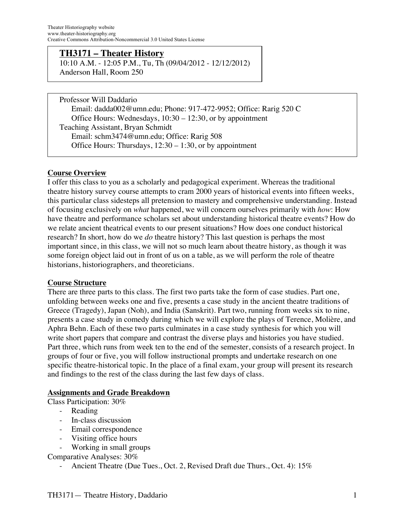#### **TH3171 – Theater History**

10:10 A.M. - 12:05 P.M., Tu, Th (09/04/2012 - 12/12/2012) Anderson Hall, Room 250

Professor Will Daddario Email: dadda002@umn.edu; Phone: 917-472-9952; Office: Rarig 520 C Office Hours: Wednesdays, 10:30 – 12:30, or by appointment Teaching Assistant, Bryan Schmidt Email: schm3474@umn.edu; Office: Rarig 508 Office Hours: Thursdays,  $12:30 - 1:30$ , or by appointment

#### **Course Overview**

I offer this class to you as a scholarly and pedagogical experiment. Whereas the traditional theatre history survey course attempts to cram 2000 years of historical events into fifteen weeks, this particular class sidesteps all pretension to mastery and comprehensive understanding. Instead of focusing exclusively on *what* happened, we will concern ourselves primarily with *how*: How have theatre and performance scholars set about understanding historical theatre events? How do we relate ancient theatrical events to our present situations? How does one conduct historical research? In short, how do we *do* theatre history? This last question is perhaps the most important since, in this class, we will not so much learn about theatre history, as though it was some foreign object laid out in front of us on a table, as we will perform the role of theatre historians, historiographers, and theoreticians.

#### **Course Structure**

There are three parts to this class. The first two parts take the form of case studies. Part one, unfolding between weeks one and five, presents a case study in the ancient theatre traditions of Greece (Tragedy), Japan (Noh), and India (Sanskrit). Part two, running from weeks six to nine, presents a case study in comedy during which we will explore the plays of Terence, Molière, and Aphra Behn. Each of these two parts culminates in a case study synthesis for which you will write short papers that compare and contrast the diverse plays and histories you have studied. Part three, which runs from week ten to the end of the semester, consists of a research project. In groups of four or five, you will follow instructional prompts and undertake research on one specific theatre-historical topic. In the place of a final exam, your group will present its research and findings to the rest of the class during the last few days of class.

#### **Assignments and Grade Breakdown**

Class Participation: 30%

- Reading
- In-class discussion
- Email correspondence
- Visiting office hours
- Working in small groups

Comparative Analyses: 30%

Ancient Theatre (Due Tues., Oct. 2, Revised Draft due Thurs., Oct. 4): 15%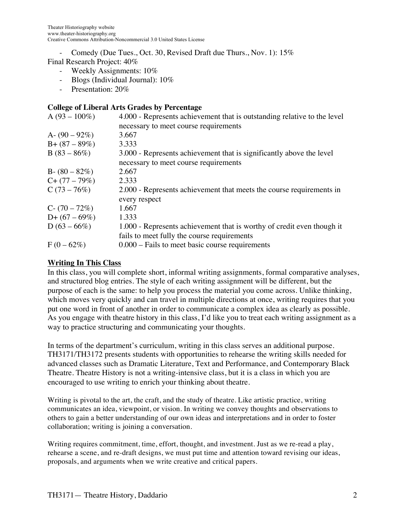Comedy (Due Tues., Oct. 30, Revised Draft due Thurs., Nov. 1): 15%

#### Final Research Project: 40%

- Weekly Assignments: 10%
- Blogs (Individual Journal): 10%
- Presentation: 20%

## **College of Liberal Arts Grades by Percentage**

| $A(93 - 100\%)$   | 4.000 - Represents achievement that is outstanding relative to the level |
|-------------------|--------------------------------------------------------------------------|
|                   | necessary to meet course requirements                                    |
| A- $(90-92\%)$    | 3.667                                                                    |
| $B + (87 - 89\%)$ | 3.333                                                                    |
| $B(83 - 86\%)$    | 3.000 - Represents achievement that is significantly above the level     |
|                   | necessary to meet course requirements                                    |
| $B - (80 - 82\%)$ | 2.667                                                                    |
| $C+(77-79%)$      | 2.333                                                                    |
| $C(73-76%)$       | 2.000 - Represents achievement that meets the course requirements in     |
|                   | every respect                                                            |
| $C - (70 - 72\%)$ | 1.667                                                                    |
| $D+(67-69%)$      | 1.333                                                                    |
| $D(63 - 66\%)$    | 1.000 - Represents achievement that is worthy of credit even though it   |
|                   | fails to meet fully the course requirements                              |
| $F(0-62%)$        | $0.000$ – Fails to meet basic course requirements                        |

### **Writing In This Class**

In this class, you will complete short, informal writing assignments, formal comparative analyses, and structured blog entries. The style of each writing assignment will be different, but the purpose of each is the same: to help you process the material you come across. Unlike thinking, which moves very quickly and can travel in multiple directions at once, writing requires that you put one word in front of another in order to communicate a complex idea as clearly as possible. As you engage with theatre history in this class, I'd like you to treat each writing assignment as a way to practice structuring and communicating your thoughts.

In terms of the department's curriculum, writing in this class serves an additional purpose. TH3171/TH3172 presents students with opportunities to rehearse the writing skills needed for advanced classes such as Dramatic Literature, Text and Performance, and Contemporary Black Theatre. Theatre History is not a writing-intensive class, but it is a class in which you are encouraged to use writing to enrich your thinking about theatre.

Writing is pivotal to the art, the craft, and the study of theatre. Like artistic practice, writing communicates an idea, viewpoint, or vision. In writing we convey thoughts and observations to others to gain a better understanding of our own ideas and interpretations and in order to foster collaboration; writing is joining a conversation.

Writing requires commitment, time, effort, thought, and investment. Just as we re-read a play, rehearse a scene, and re-draft designs, we must put time and attention toward revising our ideas, proposals, and arguments when we write creative and critical papers.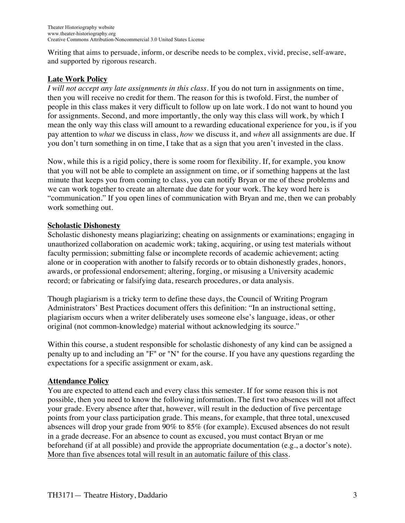Writing that aims to persuade, inform, or describe needs to be complex, vivid, precise, self-aware, and supported by rigorous research.

## **Late Work Policy**

*I will not accept any late assignments in this class*. If you do not turn in assignments on time, then you will receive no credit for them. The reason for this is twofold. First, the number of people in this class makes it very difficult to follow up on late work. I do not want to hound you for assignments. Second, and more importantly, the only way this class will work, by which I mean the only way this class will amount to a rewarding educational experience for you, is if you pay attention to *what* we discuss in class, *how* we discuss it, and *when* all assignments are due. If you don't turn something in on time, I take that as a sign that you aren't invested in the class.

Now, while this is a rigid policy, there is some room for flexibility. If, for example, you know that you will not be able to complete an assignment on time, or if something happens at the last minute that keeps you from coming to class, you can notify Bryan or me of these problems and we can work together to create an alternate due date for your work. The key word here is "communication." If you open lines of communication with Bryan and me, then we can probably work something out.

## **Scholastic Dishonesty**

Scholastic dishonesty means plagiarizing; cheating on assignments or examinations; engaging in unauthorized collaboration on academic work; taking, acquiring, or using test materials without faculty permission; submitting false or incomplete records of academic achievement; acting alone or in cooperation with another to falsify records or to obtain dishonestly grades, honors, awards, or professional endorsement; altering, forging, or misusing a University academic record; or fabricating or falsifying data, research procedures, or data analysis.

Though plagiarism is a tricky term to define these days, the Council of Writing Program Administrators' Best Practices document offers this definition: "In an instructional setting, plagiarism occurs when a writer deliberately uses someone else's language, ideas, or other original (not common-knowledge) material without acknowledging its source."

Within this course, a student responsible for scholastic dishonesty of any kind can be assigned a penalty up to and including an "F" or "N" for the course. If you have any questions regarding the expectations for a specific assignment or exam, ask.

## **Attendance Policy**

You are expected to attend each and every class this semester. If for some reason this is not possible, then you need to know the following information. The first two absences will not affect your grade. Every absence after that, however, will result in the deduction of five percentage points from your class participation grade. This means, for example, that three total, unexcused absences will drop your grade from 90% to 85% (for example). Excused absences do not result in a grade decrease. For an absence to count as excused, you must contact Bryan or me beforehand (if at all possible) and provide the appropriate documentation (e.g., a doctor's note). More than five absences total will result in an automatic failure of this class.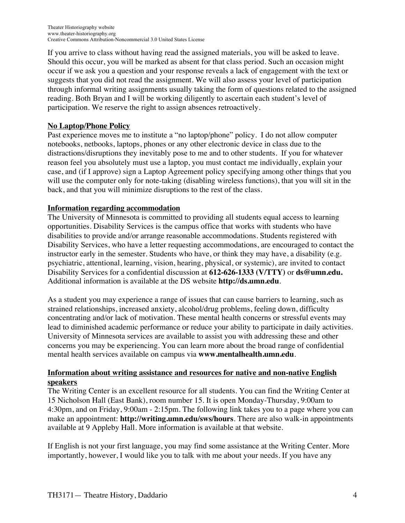If you arrive to class without having read the assigned materials, you will be asked to leave. Should this occur, you will be marked as absent for that class period. Such an occasion might occur if we ask you a question and your response reveals a lack of engagement with the text or suggests that you did not read the assignment. We will also assess your level of participation through informal writing assignments usually taking the form of questions related to the assigned reading. Both Bryan and I will be working diligently to ascertain each student's level of participation. We reserve the right to assign absences retroactively.

# **No Laptop/Phone Policy**

Past experience moves me to institute a "no laptop/phone" policy. I do not allow computer notebooks, netbooks, laptops, phones or any other electronic device in class due to the distractions/disruptions they inevitably pose to me and to other students. If you for whatever reason feel you absolutely must use a laptop, you must contact me individually, explain your case, and (if I approve) sign a Laptop Agreement policy specifying among other things that you will use the computer only for note-taking (disabling wireless functions), that you will sit in the back, and that you will minimize disruptions to the rest of the class.

# **Information regarding accommodation**

The University of Minnesota is committed to providing all students equal access to learning opportunities. Disability Services is the campus office that works with students who have disabilities to provide and/or arrange reasonable accommodations. Students registered with Disability Services, who have a letter requesting accommodations, are encouraged to contact the instructor early in the semester. Students who have, or think they may have, a disability (e.g. psychiatric, attentional, learning, vision, hearing, physical, or systemic), are invited to contact Disability Services for a confidential discussion at **612-626-1333 (V/TTY)** or **ds@umn.edu.** Additional information is available at the DS website **http://ds.umn.edu**.

As a student you may experience a range of issues that can cause barriers to learning, such as strained relationships, increased anxiety, alcohol/drug problems, feeling down, difficulty concentrating and/or lack of motivation. These mental health concerns or stressful events may lead to diminished academic performance or reduce your ability to participate in daily activities. University of Minnesota services are available to assist you with addressing these and other concerns you may be experiencing. You can learn more about the broad range of confidential mental health services available on campus via **www.mentalhealth.umn.edu**.

## **Information about writing assistance and resources for native and non-native English speakers**

The Writing Center is an excellent resource for all students. You can find the Writing Center at 15 Nicholson Hall (East Bank), room number 15. It is open Monday-Thursday, 9:00am to 4:30pm, and on Friday, 9:00am - 2:15pm. The following link takes you to a page where you can make an appointment: **http://writing.umn.edu/sws/hours**. There are also walk-in appointments available at 9 Appleby Hall. More information is available at that website.

If English is not your first language, you may find some assistance at the Writing Center. More importantly, however, I would like you to talk with me about your needs. If you have any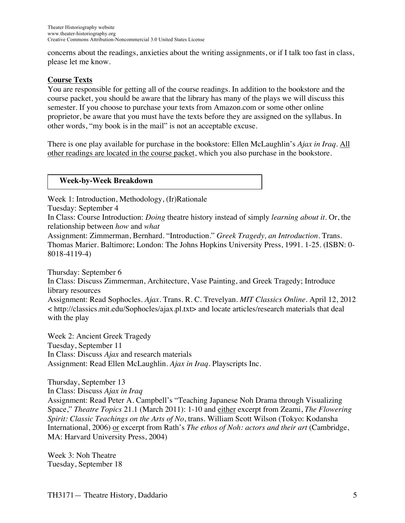concerns about the readings, anxieties about the writing assignments, or if I talk too fast in class, please let me know.

# **Course Texts**

You are responsible for getting all of the course readings. In addition to the bookstore and the course packet, you should be aware that the library has many of the plays we will discuss this semester. If you choose to purchase your texts from Amazon.com or some other online proprietor, be aware that you must have the texts before they are assigned on the syllabus. In other words, "my book is in the mail" is not an acceptable excuse.

There is one play available for purchase in the bookstore: Ellen McLaughlin's *Ajax in Iraq*. All other readings are located in the course packet, which you also purchase in the bookstore.

#### **Week-by-Week Breakdown**

Week 1: Introduction, Methodology, (Ir)Rationale

Tuesday: September 4

In Class: Course Introduction: *Doing* theatre history instead of simply *learning about it*. Or, the relationship between *how* and *what*

Assignment: Zimmerman, Bernhard. "Introduction." *Greek Tragedy, an Introduction*. Trans. Thomas Marier. Baltimore; London: The Johns Hopkins University Press, 1991. 1-25. (ISBN: 0- 8018-4119-4)

Thursday: September 6 In Class: Discuss Zimmerman, Architecture, Vase Painting, and Greek Tragedy; Introduce library resources Assignment: Read Sophocles. *Ajax*. Trans. R. C. Trevelyan. *MIT Classics Online*. April 12, 2012 < http://classics.mit.edu/Sophocles/ajax.pl.txt> and locate articles/research materials that deal with the play

Week 2: Ancient Greek Tragedy Tuesday, September 11 In Class: Discuss *Ajax* and research materials Assignment: Read Ellen McLaughlin. *Ajax in Iraq*. Playscripts Inc.

Thursday, September 13 In Class: Discuss *Ajax in Iraq* Assignment: Read Peter A. Campbell's "Teaching Japanese Noh Drama through Visualizing Space," *Theatre Topics* 21.1 (March 2011): 1-10 and either excerpt from Zeami, *The Flowering Spirit: Classic Teachings on the Arts of No*, trans. William Scott Wilson (Tokyo: Kodansha International, 2006) or excerpt from Rath's *The ethos of Noh: actors and their art* (Cambridge, MA: Harvard University Press, 2004)

Week 3: Noh Theatre Tuesday, September 18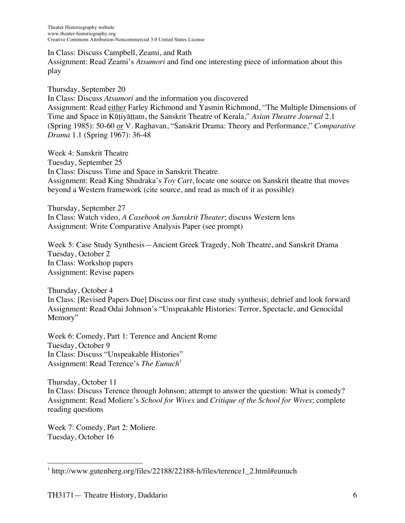In Class: Discuss Campbell, Zeami, and Rath Assignment: Read Zeami's *Atsumori* and find one interesting piece of information about this play

Thursday, September 20 In Class: Discuss *Atsumori* and the information you discovered Assignment: Read either Farley Richmond and Yasmin Richmond, "The Multiple Dimensions of Time and Space in Kūṭiyāṭṭam, the Sanskrit Theatre of Kerala," *Asian Theatre Journal* 2.1 (Spring 1985): 50-60 or V. Raghavan, "Sanskrit Drama: Theory and Performance," *Comparative Drama* 1.1 (Spring 1967): 36-48

Week 4: Sanskrit Theatre Tuesday, September 25 In Class: Discuss Time and Space in Sanskrit Theatre Assignment: Read King Shudraka's *Toy Cart*, locate one source on Sanskrit theatre that moves beyond a Western framework (cite source, and read as much of it as possible)

Thursday, September 27 In Class: Watch video, *A Casebook on Sanskrit Theater*; discuss Western lens Assignment: Write Comparative Analysis Paper (see prompt)

Week 5: Case Study Synthesis—Ancient Greek Tragedy, Noh Theatre, and Sanskrit Drama Tuesday, October 2 In Class: Workshop papers Assignment: Revise papers

Thursday, October 4 In Class: [Revised Papers Due] Discuss our first case study synthesis; debrief and look forward Assignment: Read Odai Johnson's "Unspeakable Histories: Terror, Spectacle, and Genocidal Memory"

Week 6: Comedy, Part 1: Terence and Ancient Rome Tuesday, October 9 In Class: Discuss "Unspeakable Histories" Assignment: Read Terence's *The Eunuch<sup>1</sup>* 

Thursday, October 11 In Class: Discuss Terence through Johnson; attempt to answer the question: What is comedy? Assignment: Read Moliere's *School for Wives* and *Critique of the School for Wives*; complete reading questions

Week 7: Comedy, Part 2: Moliere Tuesday, October 16

<sup>&</sup>lt;sup>1</sup> http://www.gutenberg.org/files/22188/22188-h/files/terence1\_2.html#eunuch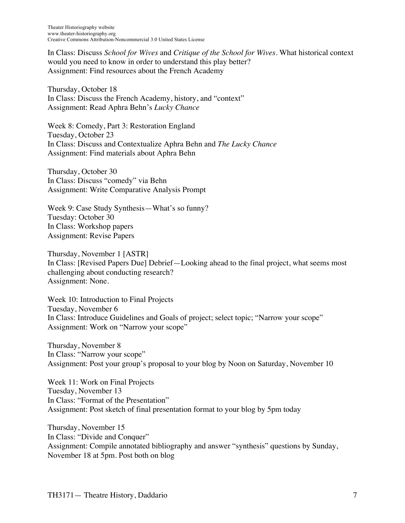Theater Historiography website www.theater-historiography.org Creative Commons Attribution-Noncommercial 3.0 United States License

In Class: Discuss *School for Wives* and *Critique of the School for Wives*. What historical context would you need to know in order to understand this play better? Assignment: Find resources about the French Academy

Thursday, October 18 In Class: Discuss the French Academy, history, and "context" Assignment: Read Aphra Behn's *Lucky Chance*

Week 8: Comedy, Part 3: Restoration England Tuesday, October 23 In Class: Discuss and Contextualize Aphra Behn and *The Lucky Chance* Assignment: Find materials about Aphra Behn

Thursday, October 30 In Class: Discuss "comedy" via Behn Assignment: Write Comparative Analysis Prompt

Week 9: Case Study Synthesis—What's so funny? Tuesday: October 30 In Class: Workshop papers Assignment: Revise Papers

Thursday, November 1 [ASTR] In Class: [Revised Papers Due] Debrief—Looking ahead to the final project, what seems most challenging about conducting research? Assignment: None.

Week 10: Introduction to Final Projects Tuesday, November 6 In Class: Introduce Guidelines and Goals of project; select topic; "Narrow your scope" Assignment: Work on "Narrow your scope"

Thursday, November 8 In Class: "Narrow your scope" Assignment: Post your group's proposal to your blog by Noon on Saturday, November 10

Week 11: Work on Final Projects Tuesday, November 13 In Class: "Format of the Presentation" Assignment: Post sketch of final presentation format to your blog by 5pm today

Thursday, November 15 In Class: "Divide and Conquer" Assignment: Compile annotated bibliography and answer "synthesis" questions by Sunday, November 18 at 5pm. Post both on blog